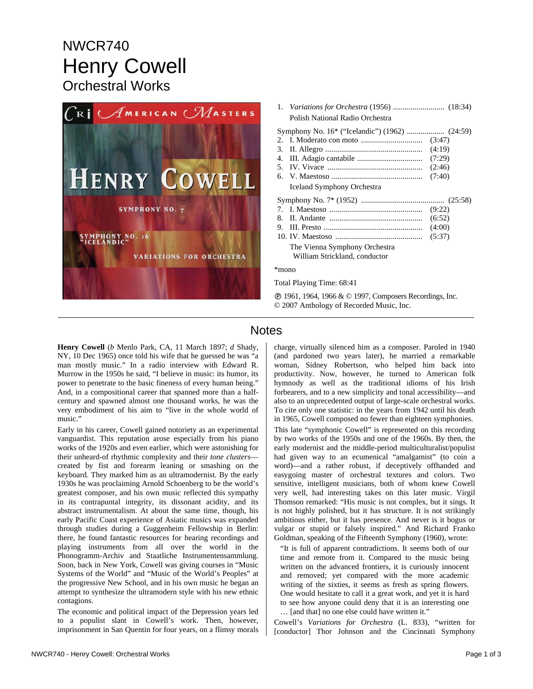## NWCR740 Henry Cowell Orchestral Works



| Polish National Radio Orchestra                                |                            |
|----------------------------------------------------------------|----------------------------|
| $2^{+}$<br>3.<br>4.<br><b>Iceland Symphony Orchestra</b>       | (4:19)<br>(2:46)<br>(7:40) |
|                                                                |                            |
|                                                                |                            |
|                                                                |                            |
|                                                                |                            |
| 9.                                                             | (4:00)                     |
|                                                                | (5:37)                     |
| The Vienna Symphony Orchestra<br>William Strickland, conductor |                            |
| $*$ mono                                                       |                            |

Ê 1961, 1964, 1966 & © 1997, Composers Recordings, Inc. © 2007 Anthology of Recorded Music, Inc.

## **Notes**

**Henry Cowell** (*b* Menlo Park, CA, 11 March 1897; *d* Shady, NY, 10 Dec 1965) once told his wife that he guessed he was "a man mostly music." In a radio interview with Edward R. Murrow in the 1950s he said, "I believe in music: its humor, its power to penetrate to the basic fineness of every human being." And, in a compositional career that spanned more than a halfcentury and spawned almost one thousand works, he was the very embodiment of his aim to "live in the whole world of music."

Early in his career, Cowell gained notoriety as an experimental vanguardist. This reputation arose especially from his piano works of the 1920s and even earlier, which were astonishing for their unheard-of rhythmic complexity and their *tone clusters* created by fist and forearm leaning or smashing on the keyboard. They marked him as an ultramodernist. By the early 1930s he was proclaiming Arnold Schoenberg to be the world's greatest composer, and his own music reflected this sympathy in its contrapuntal integrity, its dissonant acidity, and its abstract instrumentalism. At about the same time, though, his early Pacific Coast experience of Asiatic musics was expanded through studies during a Guggenheim Fellowship in Berlin: there, he found fantastic resources for hearing recordings and playing instruments from all over the world in the Phonogramm-Archiv and Staatliche Instrumentensammlung. Soon, back in New York, Cowell was giving courses in "Music Systems of the World" and "Music of the World's Peoples" at the progressive New School, and in his own music he began an attempt to synthesize the ultramodern style with his new ethnic contagions.

The economic and political impact of the Depression years led to a populist slant in Cowell's work. Then, however, imprisonment in San Quentin for four years, on a flimsy morals

charge, virtually silenced him as a composer. Paroled in 1940 (and pardoned two years later), he married a remarkable woman, Sidney Robertson, who helped him back into productivity. Now, however, he turned to American folk hymnody as well as the traditional idioms of his Irish forbearers, and to a new simplicity and tonal accessibility—and also to an unprecedented output of large-scale orchestral works. To cite only one statistic: in the years from 1942 until his death in 1965, Cowell composed no fewer than eighteen symphonies.

This late "symphonic Cowell" is represented on this recording by two works of the 1950s and one of the 1960s. By then, the early modernist and the middle-period multiculturalist/populist had given way to an ecumenical "amalgamist" (to coin a word)—and a rather robust, if deceptively offhanded and easygoing master of orchestral textures and colors. Two sensitive, intelligent musicians, both of whom knew Cowell very well, had interesting takes on this later music. Virgil Thomson remarked: "His music is not complex, but it sings. It is not highly polished, but it has structure. It is not strikingly ambitious either, but it has presence. And never is it bogus or vulgar or stupid or falsely inspired." And Richard Franko Goldman, speaking of the Fifteenth Symphony (1960), wrote:

"It is full of apparent contradictions. It seems both of our time and remote from it. Compared to the music being written on the advanced frontiers, it is curiously innocent and removed; yet compared with the more academic writing of the sixties, it seems as fresh as spring flowers. One would hesitate to call it a great work, and yet it is hard to see how anyone could deny that it is an interesting one … [and that] no one else could have written it."

Cowell's *Variations for Orchestra* (L. 833), "written for [conductor] Thor Johnson and the Cincinnati Symphony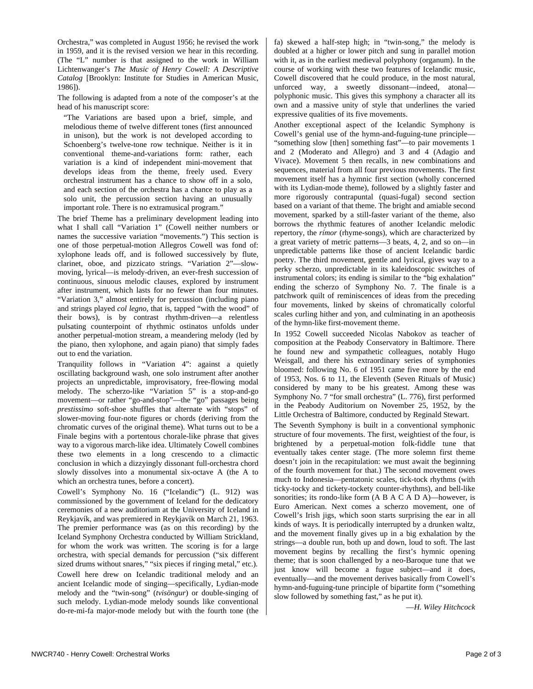Orchestra," was completed in August 1956; he revised the work in 1959, and it is the revised version we hear in this recording. (The "L" number is that assigned to the work in William Lichtenwanger's *The Music of Henry Cowell: A Descriptive Catalog* [Brooklyn: Institute for Studies in American Music, 1986]).

The following is adapted from a note of the composer's at the head of his manuscript score:

"The Variations are based upon a brief, simple, and melodious theme of twelve different tones (first announced in unison), but the work is not developed according to Schoenberg's twelve-tone row technique. Neither is it in conventional theme-and-variations form: rather, each variation is a kind of independent mini-movement that develops ideas from the theme, freely used. Every orchestral instrument has a chance to show off in a solo, and each section of the orchestra has a chance to play as a solo unit, the percussion section having an unusually important role. There is no extramusical program."

The brief Theme has a preliminary development leading into what I shall call "Variation 1" (Cowell neither numbers or names the successive variation "movements.") This section is one of those perpetual-motion Allegros Cowell was fond of: xylophone leads off, and is followed successively by flute, clarinet, oboe, and pizzicato strings. "Variation 2"—slowmoving, lyrical—is melody-driven, an ever-fresh succession of continuous, sinuous melodic clauses, explored by instrument after instrument, which lasts for no fewer than four minutes. "Variation 3," almost entirely for percussion (including piano and strings played *col legno*, that is, tapped "with the wood" of their bows), is by contrast rhythm-driven—a relentless pulsating counterpoint of rhythmic ostinatos unfolds under another perpetual-motion stream, a meandering melody (led by the piano, then xylophone, and again piano) that simply fades out to end the variation.

Tranquility follows in "Variation 4": against a quietly oscillating background wash, one solo instrument after another projects an unpredictable, improvisatory, free-flowing modal melody. The scherzo-like "Variation 5" is a stop-and-go movement—or rather "go-and-stop"—the "go" passages being *prestissimo* soft-shoe shuffles that alternate with "stops" of slower-moving four-note figures or chords (deriving from the chromatic curves of the original theme). What turns out to be a Finale begins with a portentous chorale-like phrase that gives way to a vigorous march-like idea. Ultimately Cowell combines these two elements in a long crescendo to a climactic conclusion in which a dizzyingly dissonant full-orchestra chord slowly dissolves into a monumental six-octave A (the A to which an orchestra tunes, before a concert).

Cowell's Symphony No. 16 ("Icelandic") (L. 912) was commissioned by the government of Iceland for the dedicatory ceremonies of a new auditorium at the University of Iceland in Reykjavík, and was premiered in Reykjavík on March 21, 1963. The premier performance was (as on this recording) by the Iceland Symphony Orchestra conducted by William Strickland, for whom the work was written. The scoring is for a large orchestra, with special demands for percussion ("six different sized drums without snares," "six pieces if ringing metal," etc.).

Cowell here drew on Icelandic traditional melody and an ancient Icelandic mode of singing—specifically, Lydian-mode melody and the "twin-song" (*tvisöngur*) or double-singing of such melody. Lydian-mode melody sounds like conventional do-re-mi-fa major-mode melody but with the fourth tone (the fa) skewed a half-step high; in "twin-song," the melody is doubled at a higher or lower pitch and sung in parallel motion with it, as in the earliest medieval polyphony (organum). In the course of working with these two features of Icelandic music, Cowell discovered that he could produce, in the most natural, unforced way, a sweetly dissonant—indeed, atonal polyphonic music. This gives this symphony a character all its own and a massive unity of style that underlines the varied expressive qualities of its five movements.

Another exceptional aspect of the Icelandic Symphony is Cowell's genial use of the hymn-and-fuguing-tune principle— "something slow [then] something fast"—to pair movements 1 and 2 (Moderato and Allegro) and 3 and 4 (Adagio and Vivace). Movement 5 then recalls, in new combinations and sequences, material from all four previous movements. The first movement itself has a hymnic first section (wholly concerned with its Lydian-mode theme), followed by a slightly faster and more rigorously contrapuntal (quasi-fugal) second section based on a variant of that theme. The bright and amiable second movement, sparked by a still-faster variant of the theme, also borrows the rhythmic features of another Icelandic melodic repertory, the *rímor* (rhyme-songs), which are characterized by a great variety of metric patterns—3 beats, 4, 2, and so on—in unpredictable patterns like those of ancient Icelandic bardic poetry. The third movement, gentle and lyrical, gives way to a perky scherzo, unpredictable in its kaleidoscopic switches of instrumental colors; its ending is similar to the "big exhalation" ending the scherzo of Symphony No. 7. The finale is a patchwork quilt of reminiscences of ideas from the preceding four movements, linked by skeins of chromatically colorful scales curling hither and yon, and culminating in an apotheosis of the hymn-like first-movement theme.

In 1952 Cowell succeeded Nicolas Nabokov as teacher of composition at the Peabody Conservatory in Baltimore. There he found new and sympathetic colleagues, notably Hugo Weisgall, and there his extraordinary series of symphonies bloomed: following No. 6 of 1951 came five more by the end of 1953, Nos. 6 to 11, the Eleventh (Seven Rituals of Music) considered by many to be his greatest. Among these was Symphony No. 7 "for small orchestra" (L. 776), first performed in the Peabody Auditorium on November 25, 1952, by the Little Orchestra of Baltimore, conducted by Reginald Stewart.

The Seventh Symphony is built in a conventional symphonic structure of four movements. The first, weightiest of the four, is brightened by a perpetual-motion folk-fiddle tune that eventually takes center stage. (The more solemn first theme doesn't join in the recapitulation: we must await the beginning of the fourth movement for that.) The second movement owes much to Indonesia—pentatonic scales, tick-tock rhythms (with ticky-tocky and tickety-tockety counter-rhythms), and bell-like sonorities; its rondo-like form (A B A C A D A)—however, is Euro American. Next comes a scherzo movement, one of Cowell's Irish jigs, which soon starts surprising the ear in all kinds of ways. It is periodically interrupted by a drunken waltz, and the movement finally gives up in a big exhalation by the strings—a double run, both up and down, loud to soft. The last movement begins by recalling the first's hymnic opening theme; that is soon challenged by a neo-Baroque tune that we just know will become a fugue subject—and it does, eventually—and the movement derives basically from Cowell's hymn-and-fuguing-tune principle of bipartite form ("something slow followed by something fast," as he put it).

—*H. Wiley Hitchcock*